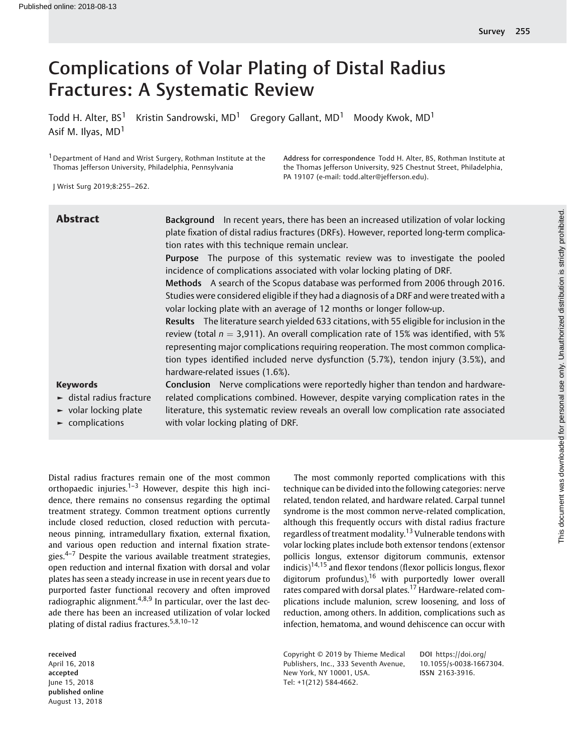# Complications of Volar Plating of Distal Radius Fractures: A Systematic Review

Todd H. Alter,  $BS^1$  Kristin Sandrowski, MD<sup>1</sup> Gregory Gallant, MD<sup>1</sup> Moody Kwok, MD<sup>1</sup> Asif M. Ilyas, MD<sup>1</sup>

<sup>1</sup> Department of Hand and Wrist Surgery, Rothman Institute at the Thomas Jefferson University, Philadelphia, Pennsylvania

J Wrist Surg 2019;8:255–262.

| <b>Abstract</b>                              | Background In recent years, there has been an increased utilization of volar locking       |
|----------------------------------------------|--------------------------------------------------------------------------------------------|
|                                              | plate fixation of distal radius fractures (DRFs). However, reported long-term complica-    |
|                                              | tion rates with this technique remain unclear.                                             |
|                                              | Purpose The purpose of this systematic review was to investigate the pooled                |
|                                              | incidence of complications associated with volar locking plating of DRF.                   |
|                                              | Methods A search of the Scopus database was performed from 2006 through 2016.              |
|                                              | Studies were considered eligible if they had a diagnosis of a DRF and were treated with a  |
|                                              | volar locking plate with an average of 12 months or longer follow-up.                      |
|                                              | Results The literature search yielded 633 citations, with 55 eligible for inclusion in the |
|                                              | review (total $n = 3,911$ ). An overall complication rate of 15% was identified, with 5%   |
|                                              | representing major complications requiring reoperation. The most common complica-          |
|                                              | tion types identified included nerve dysfunction (5.7%), tendon injury (3.5%), and         |
|                                              | hardware-related issues (1.6%).                                                            |
| <b>Keywords</b>                              | Conclusion Nerve complications were reportedly higher than tendon and hardware-            |
| $\blacktriangleright$ distal radius fracture | related complications combined. However, despite varying complication rates in the         |
| $\blacktriangleright$ volar locking plate    | literature, this systematic review reveals an overall low complication rate associated     |
| $\blacktriangleright$ complications          | with volar locking plating of DRF.                                                         |

Distal radius fractures remain one of the most common orthopaedic injuries.<sup>1-3</sup> However, despite this high incidence, there remains no consensus regarding the optimal treatment strategy. Common treatment options currently include closed reduction, closed reduction with percutaneous pinning, intramedullary fixation, external fixation, and various open reduction and internal fixation strategies. $4-7$  Despite the various available treatment strategies, open reduction and internal fixation with dorsal and volar plates has seen a steady increase in use in recent years due to purported faster functional recovery and often improved radiographic alignment.<sup>4,8,9</sup> In particular, over the last decade there has been an increased utilization of volar locked plating of distal radius fractures.5,8,10–<sup>12</sup>

The most commonly reported complications with this technique can be divided into the following categories: nerve related, tendon related, and hardware related. Carpal tunnel syndrome is the most common nerve-related complication, although this frequently occurs with distal radius fracture regardless of treatment modality.<sup>13</sup> Vulnerable tendons with volar locking plates include both extensor tendons (extensor pollicis longus, extensor digitorum communis, extensor indicis)<sup>14,15</sup> and flexor tendons (flexor pollicis longus, flexor digitorum profundus),  $16$  with purportedly lower overall rates compared with dorsal plates.<sup>17</sup> Hardware-related complications include malunion, screw loosening, and loss of reduction, among others. In addition, complications such as infection, hematoma, and wound dehiscence can occur with

Address for correspondence Todd H. Alter, BS, Rothman Institute at the Thomas Jefferson University, 925 Chestnut Street, Philadelphia,

PA 19107 (e-mail: [todd.alter@jefferson.edu](mailto:todd.alter@jefferson.edu)).

received April 16, 2018 accepted June 15, 2018 published online August 13, 2018

Copyright © 2019 by Thieme Medical Publishers, Inc., 333 Seventh Avenue, New York, NY 10001, USA. Tel: +1(212) 584-4662.

DOI [https://doi.org/](https://doi.org/10.1055/s-0038-1667304) [10.1055/s-0038-1667304](https://doi.org/10.1055/s-0038-1667304). ISSN 2163-3916.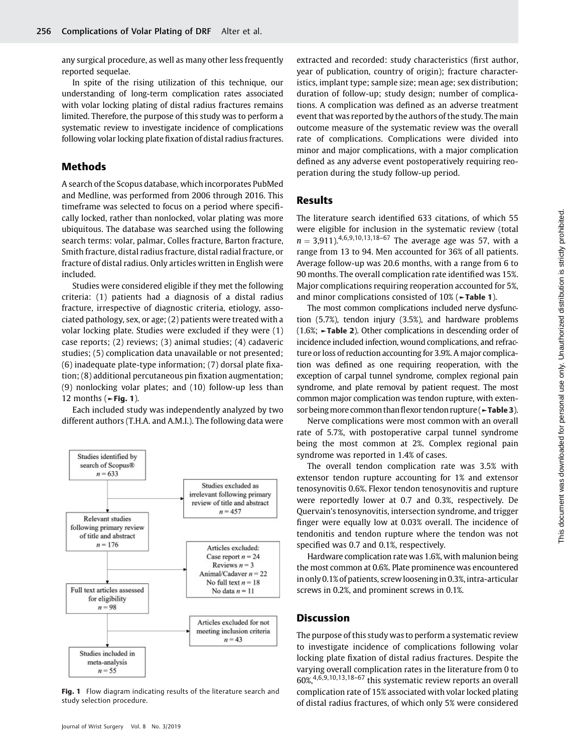any surgical procedure, as well as many other less frequently reported sequelae.

In spite of the rising utilization of this technique, our understanding of long-term complication rates associated with volar locking plating of distal radius fractures remains limited. Therefore, the purpose of this study was to perform a systematic review to investigate incidence of complications following volar locking plate fixation of distal radius fractures.

## Methods

A search of the Scopus database, which incorporates PubMed and Medline, was performed from 2006 through 2016. This timeframe was selected to focus on a period where specifically locked, rather than nonlocked, volar plating was more ubiquitous. The database was searched using the following search terms: volar, palmar, Colles fracture, Barton fracture, Smith fracture, distal radius fracture, distal radial fracture, or fracture of distal radius. Only articles written in English were included.

Studies were considered eligible if they met the following criteria: (1) patients had a diagnosis of a distal radius fracture, irrespective of diagnostic criteria, etiology, associated pathology, sex, or age; (2) patients were treated with a volar locking plate. Studies were excluded if they were (1) case reports; (2) reviews; (3) animal studies; (4) cadaveric studies; (5) complication data unavailable or not presented; (6) inadequate plate-type information; (7) dorsal plate fixation; (8) additional percutaneous pin fixation augmentation; (9) nonlocking volar plates; and (10) follow-up less than 12 months ( $\blacktriangleright$ Fig. 1).

Each included study was independently analyzed by two different authors (T.H.A. and A.M.I.). The following data were



Fig. 1 Flow diagram indicating results of the literature search and study selection procedure.

extracted and recorded: study characteristics (first author, year of publication, country of origin); fracture characteristics, implant type; sample size; mean age; sex distribution; duration of follow-up; study design; number of complications. A complication was defined as an adverse treatment event that was reported by the authors of the study. The main outcome measure of the systematic review was the overall rate of complications. Complications were divided into minor and major complications, with a major complication defined as any adverse event postoperatively requiring reoperation during the study follow-up period.

### Results

The literature search identified 633 citations, of which 55 were eligible for inclusion in the systematic review (total  $n = 3.911$ ).<sup>4,6,9,10,13,18–67</sup> The average age was 57, with a range from 13 to 94. Men accounted for 36% of all patients. Average follow-up was 20.6 months, with a range from 6 to 90 months. The overall complication rate identified was 15%. Major complications requiring reoperation accounted for 5%, and minor complications consisted of 10% (►Table 1).

The most common complications included nerve dysfunction (5.7%), tendon injury (3.5%), and hardware problems (1.6%; ►Table 2). Other complications in descending order of incidence included infection, wound complications, and refracture or loss of reduction accounting for 3.9%. A major complication was defined as one requiring reoperation, with the exception of carpal tunnel syndrome, complex regional pain syndrome, and plate removal by patient request. The most common major complication was tendon rupture, with extensor being more common than flexor tendon rupture (►Table 3).

Nerve complications were most common with an overall rate of 5.7%, with postoperative carpal tunnel syndrome being the most common at 2%. Complex regional pain syndrome was reported in 1.4% of cases.

The overall tendon complication rate was 3.5% with extensor tendon rupture accounting for 1% and extensor tenosynovitis 0.6%. Flexor tendon tenosynovitis and rupture were reportedly lower at 0.7 and 0.3%, respectively. De Quervain's tenosynovitis, intersection syndrome, and trigger finger were equally low at 0.03% overall. The incidence of tendonitis and tendon rupture where the tendon was not specified was 0.7 and 0.1%, respectively.

Hardware complication rate was 1.6%, with malunion being the most common at 0.6%. Plate prominence was encountered in only 0.1% of patients, screwlooseningin 0.3%, intra-articular screws in 0.2%, and prominent screws in 0.1%.

#### **Discussion**

The purpose of this study was to perform a systematic review to investigate incidence of complications following volar locking plate fixation of distal radius fractures. Despite the varying overall complication rates in the literature from 0 to 60%,4,6,9,10,13,18–<sup>67</sup> this systematic review reports an overall complication rate of 15% associated with volar locked plating of distal radius fractures, of which only 5% were considered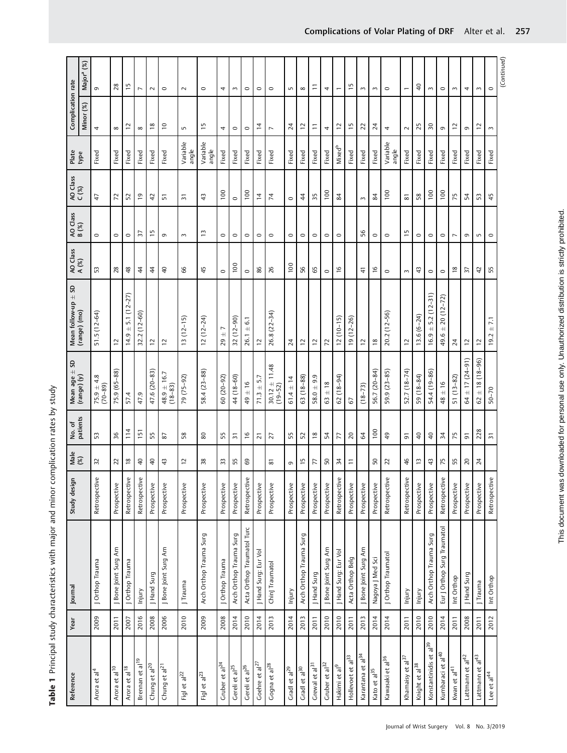| Reference                          | Year | Journal                     | Study design  | $Male$<br>$(8)$          | No. of<br>patients       | Mean age $\pm$ SD                | Mean follow-up $\pm$ SD                 | AO Class       | AO Class<br>B (%) | AO Class<br>C (%) | Plate                    | Complication rate |                        |
|------------------------------------|------|-----------------------------|---------------|--------------------------|--------------------------|----------------------------------|-----------------------------------------|----------------|-------------------|-------------------|--------------------------|-------------------|------------------------|
|                                    |      |                             |               |                          |                          | $(range)$ $(y)$                  | (range) (mo)                            | A (%)          |                   |                   | type                     | Minor (%)         | Major <sup>a</sup> (%) |
| Arora et al <sup>4</sup>           | 2009 | J Orthop Trauma             | Retrospective | 32                       | 53                       | $75.9 \pm 4.8$<br>(70-89)        | $51.5(12-64)$                           | 53             | $\circ$           | 47                | Fixed                    | 4                 | $\sigma$               |
| Arora et al <sup>10</sup>          | 2011 | Bone Joint Surg Am          | Prospective   | 22                       | 36                       | 75.9 (65-88)                     | 5                                       | 28             | $\circ$           | 72                | Fixed                    | $\infty$          | 28                     |
| Arora et al <sup>18</sup>          | 2007 | J Orthop Trauma             | Retrospective | $\frac{8}{18}$           | 114                      | 57.4                             | $14.9 \pm 5.1(12 - 27)$                 | $\frac{8}{3}$  | $\circ$           | 52                | Fixed                    | 5,                | $\overline{1}$         |
| Brennan et al <sup>19</sup>        | 2016 | Injury                      | Retrospective | $\overline{4}$           | 151                      | 47.9                             | $32.2(12 - 60)$                         | $\frac{4}{3}$  | 57                | $\overline{e}$    | Fixed                    | ${}^{\circ}$      | $\overline{ }$         |
| Chung et al $^{20}$                | 2008 | J Hand Surg                 | Prospective   | $\overline{4}$           | 55                       | 47.6 (20-83)                     | $\overline{C}$                          | $\frac{4}{3}$  | $\overline{1}$    | $\overline{4}$    | Fixed                    | $\frac{8}{2}$     | $\sim$                 |
| Chung et al <sup>21</sup>          | 2006 | J Bone Joint Surg Am        | Prospective   | $\ddot{4}$               | 87                       | $48.9 \pm 16.7$<br>$(18 - 83)$   | $\overline{C}$                          | $\overline{4}$ | G                 | 5                 | Fixed                    | $\approx$         | $\circ$                |
| Figl et al <sup>22</sup>           | 2010 | J Trauma                    | Prospective   | $\overline{\phantom{0}}$ | 58                       | 79 (75-92)                       | $13(12-15)$                             | 66             | $\sim$            | $\overline{5}$    | Variable<br>angle        | S                 | $\sim$                 |
| Figl et al <sup>23</sup>           | 2009 | Arch Orthop Trauma Surg     | Prospective   | 38                       | 80                       | $58.4(23 - 88)$                  | $12(12-24)$                             | 45             | $\tilde{1}$       | 43                | Variable<br>angle        | 'n                | $\circ$                |
| Gruber et al <sup>24</sup>         | 2008 | J Orthop Trauma             | Prospective   | 33                       | 55                       | $60(20-92)$                      | $29 +$                                  | $\circ$        | 0                 | $\frac{8}{1}$     | Fixed                    | 4                 | 4                      |
| Gereli et al <sup>25</sup>         | 2014 | Arch Orthop Trauma Surg     | Prospective   | 55                       | $\overline{5}$           | 44 (18-60)                       | $32(12 - 90)$                           | 100            | $\circ$           | $\circ$           | Fixed                    | $\circ$           | $\sim$                 |
| Gereli et al <sup>26</sup>         | 2010 | Acta Orthop Traumatol Turc  | Retrospective | 69                       | $\frac{6}{2}$            | $49 \pm 16$                      | $\pm$ 6.1<br>26.1                       | $\circ$        | $\circ$           | 100               | Fixed                    | $\circ$           | $\circ$                |
| Goehre et al <sup>27</sup>         | 2014 | J Hand Surg: Eur Vol        | Prospective   |                          | $\overline{2}$           | $71.3 \pm 5.7$                   | $\overline{C}$                          | 86             | $\circ$           | $\overline{4}$    | Fixed                    | 14                | $\circ$                |
| Gogna et al <sup>28</sup>          | 2013 | Chinj Traumatol             | Prospective   | 81                       | 27                       | $30.12 \pm 11.48$<br>$(19 - 52)$ | 26.8 (22-34)                            | 26             | $\circ$           | 74                | Fixed                    | $\overline{ }$    | $\circ$                |
| Gradl et al <sup>29</sup>          | 2014 | Injury                      | Prospective   | G                        | 55                       | $61.4 \pm 14$                    | $\overline{24}$                         | 100            | $\circ$           | $\circ$           | Fixed                    | $\overline{A}$    | S                      |
| Gradl et al <sup>30</sup>          | 2013 | Arch Orthop Trauma Surg     | Prospective   | $\overline{1}$           | 52                       | $63(18-88)$                      | 12                                      | 56             | $\circ$           | $\frac{4}{3}$     | Fixed                    | $\overline{c}$    | $\infty$               |
| Grewal et al <sup>31</sup>         | 2011 | J Hand Surg                 | Prospective   | 77                       | $\frac{8}{2}$            | $58.0 + 9.9$                     | $\overline{C}$                          | 65             | $\circ$           | 35                | Fixed                    | Ξ                 | Ξ                      |
| Gruber et al <sup>32</sup>         | 2010 | Bone Joint Surg Am          | Prospective   | 50                       | 54                       | ± 18<br>63                       | $\overline{z}$                          | $\circ$        | $\circ$           | 100               | Fixed                    | 4                 | 4                      |
| Hakimi et al <sup>9</sup>          | 2010 | J Hand Surg: Eur Vol        | Retrospective | $\overline{3}$           | 77                       | $62(18-94)$                      | $12(10-15)$                             | $\frac{6}{1}$  | $\circ$           | 84                | <b>Mixed<sup>b</sup></b> | $\overline{c}$    | $\overline{ }$         |
| Hollevoet et al <sup>33</sup>      | 2011 | Acta Orthop Belg            | Prospective   | Ξ                        | $\overline{20}$          | 67                               | $19(12 - 26)$                           |                |                   |                   | Fixed                    | $\overline{1}$    | $\overline{1}$         |
| Karantana et al <sup>34</sup>      | 2013 | Bone Joint Surg Am          | Prospective   |                          | 64                       | $(18 - 73)$                      | $\overline{C}$                          | $\frac{4}{5}$  | 56                | $\sim$            | Fixed                    | 22                | 3                      |
| Kato et al <sup>35</sup>           | 2014 | Nagoya J Med Sci            | Prospective   | $50\,$                   | 100                      | 56.7 (20-84)                     | $\approx$                               | $\frac{6}{2}$  | $\circ$           | 84                | Fixed                    | $\overline{A}$    | 3                      |
| Kawasaki et al <sup>36</sup>       | 2014 | J Orthop Traumatol          | Retrospective | $\overline{2}$           | $\overline{4}$           | 59.9 (23-85)                     | 20.2 (12-56)                            | $\circ$        | $\circ$           | 100               | Variable<br>angle        | 4                 | $\circ$                |
| Khamaisy et al <sup>37</sup>       | 2011 | Injury                      | Retrospective | 46                       | 5                        | 52.7 (18-74)                     | $\overline{c}$                          | $\sim$         | $\frac{15}{2}$    | $\overline{8}$    | Fixed                    | $\sim$            | $\overline{ }$         |
| Knight et al <sup>38</sup>         | 2010 | Injury                      | Prospective   | $\Xi$                    | $\overline{4}$           | 59 (18-84)                       | $13.6(6-24)$                            | ᡩ              | $\circ$           | 58                | Fixed                    | 25                | $\overline{4}$         |
| Konstantinidis et al <sup>39</sup> | 2010 | Arch Orthop Trauma Surg     | Prospective   | $43$                     | $\overline{4}$           | 54.4 (19-86)                     | $5.2(12-31)$<br>$\overline{+}$<br>16.9  | $\circ$        | $\circ$           | 100               | Fixed                    | 50                | $\sim$                 |
| Kumbaraci et al <sup>40</sup>      | 2014 | Eur J Orthop Surg Traumatol | Retrospective | 75                       | $\overline{3}4$          | ±16<br>48                        | $20(12 - 72)$<br>$\!$ $\!$ $\!$<br>49.6 | $\circ$        | $\circ$           | 100               | Fixed                    | G                 | $\circ$                |
| Kwan et al <sup>41</sup>           | 2011 | Int Orthop                  | Prospective   | 55                       | 75                       | $51(13-82)$                      | $\overline{24}$                         | $\frac{8}{2}$  | $\overline{ }$    | 75                | Fixed                    | $\overline{c}$    | $\sim$                 |
| Lattmann et $al^{42}$              | 2008 | J Hand Surg                 | Prospective   | $\overline{20}$          | $\overline{5}$           | $\pm$ 17 (24-91)<br>64           | $\overline{\phantom{a}}$                | 57             | G                 | 54                | Fixed                    | G                 | 4                      |
| Lattmann et al <sup>43</sup>       | 2011 | J Trauma                    | Prospective   | $\overline{24}$          | 228                      | $\pm$ 18 (18-96)<br>62           | $\overline{c}$                          | $\overline{4}$ | $\overline{5}$    | 53                | Fixed                    | $\overline{c}$    | $\sim$                 |
| Lee et al <sup>44</sup>            | 2012 | Int Orthop                  | Retrospective |                          | $\overline{\phantom{0}}$ | $50 - 70$                        | $\pm$ 7.1<br>19.2                       | 55             | $\circ$           | 45                | Fixed                    | 3                 | $\circ$                |
|                                    |      |                             |               |                          |                          |                                  |                                         |                |                   |                   |                          |                   | (Continued)            |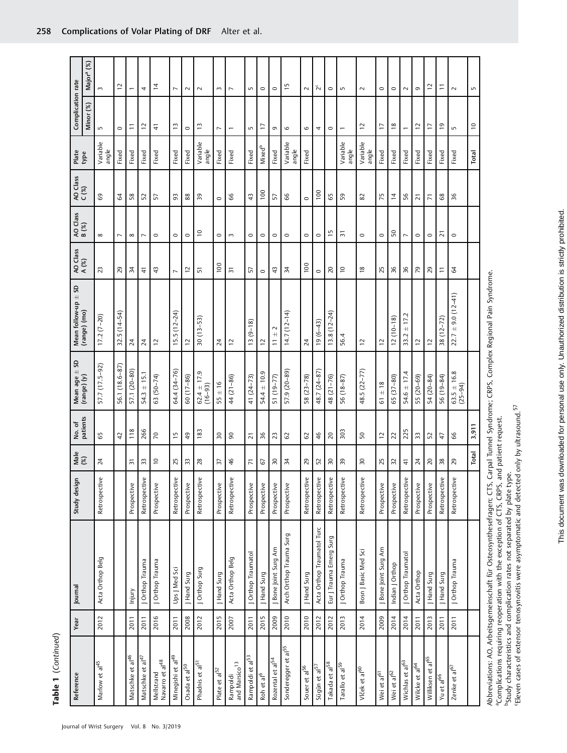| j      |
|--------|
|        |
|        |
|        |
|        |
|        |
|        |
|        |
| ۱<br>۲ |
|        |
|        |
|        |
|        |

Journal of Wrist Surgery Vol. 8 No. 3/2019

| Reference                                 | Year | Journal                    | Study design  | $Male$<br>$(%)$ | No. of<br>patients | Mean age $\pm$ SD<br>(range) $(y)$ | Mean follow-up $\pm$ SD<br>(range) (mo) | AO Class<br>A (%) | AO Class<br>B (%)        | AO Class<br>C (%) | Plate<br>type            | Complication rate        |                           |
|-------------------------------------------|------|----------------------------|---------------|-----------------|--------------------|------------------------------------|-----------------------------------------|-------------------|--------------------------|-------------------|--------------------------|--------------------------|---------------------------|
|                                           |      |                            |               |                 |                    |                                    |                                         |                   |                          |                   |                          | Minor (%)                | (%)<br>Major <sup>a</sup> |
| Marlow et al <sup>45</sup>                | 2012 | Acta Orthop Belg           | Retrospective | 24              | 65                 | 57.7 (17.5-92)                     | $17.2(7-20)$                            | 23                | $\infty$                 | 69                | Variable<br>angle        | 5                        | $\sim$                    |
|                                           |      |                            |               |                 | $\overline{4}$     | 56.1 (18.6-87)                     | $32.5(14-54)$                           | 29                | $\overline{\phantom{0}}$ | 64                | Fixed                    | $\circ$                  | $\overline{C}$            |
| Matschke et al <sup>46</sup>              | 2011 | Injury                     | Prospective   | $\overline{5}$  | 118                | 57.1 (20-80)                       | $\overline{24}$                         | $\frac{34}{3}$    | $\infty$                 | 58                | Fixed                    | Ξ                        | $\overline{ }$            |
| Matschke et al <sup>47</sup>              | 2011 | J Orthop Trauma            | Retrospective | 33              | 266                | $54.3 \pm 15.1$                    | $\overline{24}$                         | $\frac{4}{5}$     | $\overline{ }$           | 52                | Fixed                    | $\overline{\phantom{a}}$ | 4                         |
| Mellstrand<br>Navarro et al <sup>48</sup> | 2016 | J Orthop Trauma            | Prospective   | $\overline{c}$  | $\sqrt{2}$         | $63(50-74)$                        | 12                                      | 43                | $\circ$                  | 57                | Fixed                    | 4                        | $\overline{4}$            |
| Minegishi et al <sup>49</sup>             | 2011 | Ups J Med Sci              | Retrospective | 25              | $\frac{15}{2}$     | 64.4 (34–76)                       | $15.5(12 - 24)$                         | $\overline{ }$    | $\circ$                  | 93                | Fixed                    | IJ                       | $\overline{\phantom{a}}$  |
| Osada et al <sup>50</sup>                 | 2008 | J Hand Surg                | Prospective   | 33              | 49                 | 60 (17-86)                         | 12                                      | $\tilde{c}$       | $\circ$                  | 88                | Fixed                    | $\circ$                  | $\sim$                    |
| Phadnis et al <sup>51</sup>               | 2012 | J Orthop Surg              | Retrospective | 28              | 183                | $62.4 \pm 17.9$<br>$(16 - 93)$     | $30(13 - 53)$                           | $\overline{5}$    | $\overline{c}$           | 39                | Variable<br>angle        | Ξ                        | $\sim$                    |
| Plate et al <sup>52</sup>                 | 2015 | J Hand Surg                | Prospective   | 57              | $\overline{50}$    | $55 \pm 16$                        | $\overline{2}$                          | 100               | $\circ$                  | $\circ$           | Fixed                    | $\overline{ }$           | $\sim$                    |
| Rampoldi<br>and Marsico <sup>13</sup>     | 2007 | Acta Orthop Belg           | Retrospective | 46              | $\mathsf{S}^0$     | 44 (21-86)                         | $\overline{C}$                          | $\overline{5}$    | $\sim$                   | 66                | Fixed                    | $\overline{ }$           | $\overline{\phantom{a}}$  |
| Rampoldi et al <sup>53</sup>              | 2011 | J Orthop Traumatol         | Prospective   | $\overline{r}$  | $\overline{2}1$    | $41(24-73)$                        | $13(9-18)$                              | 57                | $\circ$                  | $\frac{4}{3}$     | Fixed                    | 5                        | 5                         |
| Roh et al <sup>6</sup>                    | 2015 | J Hand Surg                | Prospective   | 67              | 36                 | $54.4 \pm 10.9$                    | $\overline{C}$                          | $\circ$           | $\circ$                  | 100               | <b>Mixed<sup>b</sup></b> | F                        | $\circ$                   |
| Rozental et al <sup>54</sup>              | 2009 | Bone Joint Surg Am         | Prospective   | $\overline{50}$ | 23                 | 51 (19–77)                         | $11 + 2$                                | 43                | $\circ$                  | 57                | Fixed                    | G                        | $\circ$                   |
| Sonderegger et al <sup>55</sup>           | 2010 | Arch Orthop Trauma Surg    | Prospective   | 34              | 29                 | 57.9 (20-89)                       | $14.7(12-14)$                           | 34                | $\circ$                  | 99                | Variable<br>angle        | $\mathbf \circ$          | $\frac{1}{2}$             |
| Souer et al <sup>56</sup>                 | 2010 | J Hand Surg                | Retrospective | 29              | CS                 | 58 (23-78)                         | $\overline{24}$                         | 100               | $\circ$                  | $\circ$           | Fixed                    | 6                        | $\sim$                    |
| Sügün et al <sup>57</sup>                 | 2012 | Acta Orthop Traumatol Turc | Retrospective | 52              | 46                 | 48.7 (24-87                        | $19(6-43)$                              | $\circ$           | $\circ$                  | 100               |                          | 4                        | $\tilde{\mathbf{2}}^c$    |
| Takada et al <sup>58</sup>                | 2012 | Eur J Trauma Emerg Surg    | Retrospective | $\sqrt{2}$      | $\overline{20}$    | 48 (21-76)                         | $13.8(12 - 24)$                         | 20                | $\overline{1}$           | 65                |                          | $\circ$                  | $\circ$                   |
| Tarallo et al <sup>59</sup>               | 2013 | J Orthop Trauma            | Retrospective | 59              | 303                | 56 (18-87)                         | 56.4                                    | $\overline{1}$    | 51                       | 59                | Variable<br>angle        | $\overline{\phantom{m}}$ | S                         |
| Vlček et al <sup>60</sup>                 | 2014 | Bosn J Basic Med Sci       | Retrospective | $\overline{30}$ | 50                 | $48.5(22 - 77)$                    | 12                                      | $\frac{8}{18}$    | $\circ$                  | 82                | Variable<br>angle        | 12                       | $\sim$                    |
| Wei et al <sup>61</sup>                   | 2009 | J Bone Joint Surg Am       | Prospective   | 25              | $\overline{C}$     | $\pm 18$<br>51                     | $\overline{C}$                          | 25                | $\circ$                  | 75                | Fixed                    | F                        | $\circ$                   |
| Wei et al <sup>62</sup>                   | 2014 | Indian J Orthop            | Prospective   | 32              | 22                 | $65(37 - 80)$                      | $12(10-18)$                             | 36                | 50                       | $\overline{4}$    | Fixed                    | $\frac{8}{2}$            | $\circ$                   |
| Wichlas et al <sup>63</sup>               | 2014 | J Orthop Traumatol         | Retrospective | $\frac{4}{7}$   | 225                | $54.6 \pm 17.4$                    | 17.2<br>$\overline{+}$<br>33.2          | 36                | $\overline{ }$           | 56                | Fixed                    | $\overline{\phantom{0}}$ | $\sim$                    |
| Wilcke et al <sup>64</sup>                | 2011 | Acta Orthop                | Prospective   | $\overline{24}$ | 33                 | 55 (20-69)                         | 12                                      | 79                | $\circ$                  | $\overline{2}1$   | Fixed                    | $\overline{C}$           | G                         |
| Williksen et al <sup>65</sup>             | 2013 | J Hand Surg                | Prospective   | $\overline{20}$ | 52                 | 54 (20-84)                         | $\overline{C}$                          | 29                | $\circ$                  | $\overline{7}$    | Fixed                    | $\overline{1}$           | $\overline{c}$            |
| Yu et al <sup>66</sup>                    | 2011 | J Hand Surg                | Retrospective | $38$            | $\overline{4}$     | 56 (19-84)                         | $38(12 - 72)$                           | Ξ                 | $\overline{N}$           | 68                | Fixed                    | $\overline{e}$           | Ξ                         |
| Zenke et al <sup>67</sup>                 | 2011 | J Orthop Trauma            | Retrospective | 29              | 66                 | $63.5 \pm 16.8$<br>$(25 - 94)$     | $22.7 \pm 9.0$ (12-41)                  | 64                | $\circ$                  | 36                | Fixed                    | LN.                      | $\sim$                    |
|                                           |      |                            |               | Total           | 3,911              |                                    |                                         |                   |                          |                   | Total                    | $\approx$                | S                         |
|                                           |      |                            |               |                 |                    |                                    |                                         |                   |                          |                   |                          |                          |                           |

<sup>b</sup>Study characteristics and complication rates not separated by plate type.<br>'Eleven cases of extensor tenosynovitis were asymptomatic and detected only by ultrasound.<sup>57</sup> bStudy characteristics and complication rates not separated by plate type.

Eleven cases of extensor tenosynovitis were asymptomatic and detected only by ultrasound.<sup>57</sup>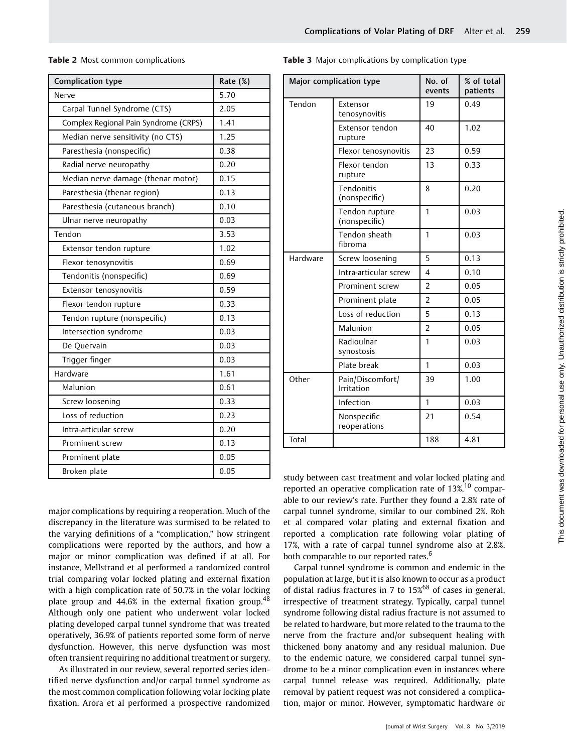Table 2 Most common complications

| <b>Complication type</b>              | Rate (%) |
|---------------------------------------|----------|
| Nerve                                 | 5.70     |
| Carpal Tunnel Syndrome (CTS)          | 2.05     |
| Complex Regional Pain Syndrome (CRPS) | 1.41     |
| Median nerve sensitivity (no CTS)     | 1.25     |
| Paresthesia (nonspecific)             | 0.38     |
| Radial nerve neuropathy               | 0.20     |
| Median nerve damage (thenar motor)    | 0.15     |
| Paresthesia (thenar region)           | 0.13     |
| Paresthesia (cutaneous branch)        | 0.10     |
| Ulnar nerve neuropathy                | 0.03     |
| Tendon                                | 3.53     |
| Extensor tendon rupture               | 1.02     |
| Flexor tenosynovitis                  | 0.69     |
| Tendonitis (nonspecific)              | 0.69     |
| Extensor tenosynovitis                | 0.59     |
| Flexor tendon rupture                 | 0.33     |
| Tendon rupture (nonspecific)          | 0.13     |
| Intersection syndrome                 | 0.03     |
| De Quervain                           | 0.03     |
| Trigger finger                        | 0.03     |
| Hardware                              | 1.61     |
| Malunion                              | 0.61     |
| Screw loosening                       | 0.33     |
| Loss of reduction                     | 0.23     |
| Intra-articular screw                 | 0.20     |
| Prominent screw                       | 0.13     |
| Prominent plate                       | 0.05     |
| Broken plate                          | 0.05     |

major complications by requiring a reoperation. Much of the discrepancy in the literature was surmised to be related to the varying definitions of a "complication," how stringent complications were reported by the authors, and how a major or minor complication was defined if at all. For instance, Mellstrand et al performed a randomized control trial comparing volar locked plating and external fixation with a high complication rate of 50.7% in the volar locking plate group and 44.6% in the external fixation group.<sup>48</sup> Although only one patient who underwent volar locked plating developed carpal tunnel syndrome that was treated operatively, 36.9% of patients reported some form of nerve dysfunction. However, this nerve dysfunction was most often transient requiring no additional treatment or surgery.

As illustrated in our review, several reported series identified nerve dysfunction and/or carpal tunnel syndrome as the most common complication following volar locking plate fixation. Arora et al performed a prospective randomized Table 3 Major complications by complication type

|          | Major complication type         | No. of<br>events | % of total<br>patients |
|----------|---------------------------------|------------------|------------------------|
| Tendon   | Extensor<br>tenosynovitis       | 19               | 0.49                   |
|          | Extensor tendon<br>rupture      | 40               | 1.02                   |
|          | Flexor tenosynovitis            | 23               | 0.59                   |
|          | Flexor tendon<br>rupture        | 13               | 0.33                   |
|          | Tendonitis<br>(nonspecific)     | 8                | 0.20                   |
|          | Tendon rupture<br>(nonspecific) | $\mathbf{1}$     | 0.03                   |
|          | Tendon sheath<br>fibroma        | 1                | 0.03                   |
| Hardware | Screw loosening                 | 5                | 0.13                   |
|          | Intra-articular screw           | 4                | 0.10                   |
|          | Prominent screw                 | $\overline{2}$   | 0.05                   |
|          | Prominent plate                 | $\overline{2}$   | 0.05                   |
|          | Loss of reduction               | 5                | 0.13                   |
|          | Malunion                        | $\overline{2}$   | 0.05                   |
|          | Radioulnar<br>synostosis        | 1                | 0.03                   |
|          | Plate break                     | $\mathbf{1}$     | 0.03                   |
| Other    | Pain/Discomfort/<br>Irritation  | 39               | 1.00                   |
|          | Infection                       | 1                | 0.03                   |
|          | Nonspecific<br>reoperations     | 21               | 0.54                   |
| Total    |                                 | 188              | 4.81                   |

study between cast treatment and volar locked plating and reported an operative complication rate of  $13\%$ ,<sup>10</sup> comparable to our review's rate. Further they found a 2.8% rate of carpal tunnel syndrome, similar to our combined 2%. Roh et al compared volar plating and external fixation and reported a complication rate following volar plating of 17%, with a rate of carpal tunnel syndrome also at 2.8%, both comparable to our reported rates.<sup>6</sup>

Carpal tunnel syndrome is common and endemic in the population at large, but it is also known to occur as a product of distal radius fractures in 7 to  $15\%$ <sup>68</sup> of cases in general, irrespective of treatment strategy. Typically, carpal tunnel syndrome following distal radius fracture is not assumed to be related to hardware, but more related to the trauma to the nerve from the fracture and/or subsequent healing with thickened bony anatomy and any residual malunion. Due to the endemic nature, we considered carpal tunnel syndrome to be a minor complication even in instances where carpal tunnel release was required. Additionally, plate removal by patient request was not considered a complication, major or minor. However, symptomatic hardware or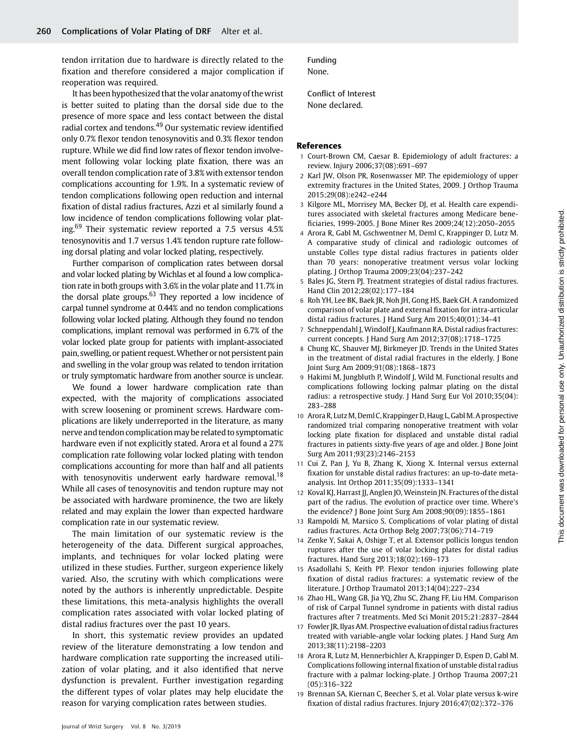tendon irritation due to hardware is directly related to the fixation and therefore considered a major complication if reoperation was required.

It has been hypothesized that the volar anatomy of thewrist is better suited to plating than the dorsal side due to the presence of more space and less contact between the distal radial cortex and tendons.<sup>49</sup> Our systematic review identified only 0.7% flexor tendon tenosynovitis and 0.3% flexor tendon rupture. While we did find low rates of flexor tendon involvement following volar locking plate fixation, there was an overall tendon complication rate of 3.8% with extensor tendon complications accounting for 1.9%. In a systematic review of tendon complications following open reduction and internal fixation of distal radius fractures, Azzi et al similarly found a low incidence of tendon complications following volar plating.<sup>69</sup> Their systematic review reported a 7.5 versus 4.5% tenosynovitis and 1.7 versus 1.4% tendon rupture rate following dorsal plating and volar locked plating, respectively.

Further comparison of complication rates between dorsal and volar locked plating by Wichlas et al found a low complication rate in both groups with 3.6% in the volar plate and 11.7% in the dorsal plate groups. $63$  They reported a low incidence of carpal tunnel syndrome at 0.44% and no tendon complications following volar locked plating. Although they found no tendon complications, implant removal was performed in 6.7% of the volar locked plate group for patients with implant-associated pain, swelling, or patient request.Whether or not persistent pain and swelling in the volar group was related to tendon irritation or truly symptomatic hardware from another source is unclear.

We found a lower hardware complication rate than expected, with the majority of complications associated with screw loosening or prominent screws. Hardware complications are likely underreported in the literature, as many nerve and tendon complication may be related to symptomatic hardware even if not explicitly stated. Arora et al found a 27% complication rate following volar locked plating with tendon complications accounting for more than half and all patients with tenosynovitis underwent early hardware removal.<sup>18</sup> While all cases of tenosynovitis and tendon rupture may not be associated with hardware prominence, the two are likely related and may explain the lower than expected hardware complication rate in our systematic review.

The main limitation of our systematic review is the heterogeneity of the data. Different surgical approaches, implants, and techniques for volar locked plating were utilized in these studies. Further, surgeon experience likely varied. Also, the scrutiny with which complications were noted by the authors is inherently unpredictable. Despite these limitations, this meta-analysis highlights the overall complication rates associated with volar locked plating of distal radius fractures over the past 10 years.

In short, this systematic review provides an updated review of the literature demonstrating a low tendon and hardware complication rate supporting the increased utilization of volar plating, and it also identified that nerve dysfunction is prevalent. Further investigation regarding the different types of volar plates may help elucidate the reason for varying complication rates between studies.

Funding None.

Conflict of Interest None declared.

#### References

- 1 Court-Brown CM, Caesar B. Epidemiology of adult fractures: a review. Injury 2006;37(08):691–697
- 2 Karl JW, Olson PR, Rosenwasser MP. The epidemiology of upper extremity fractures in the United States, 2009. J Orthop Trauma 2015;29(08):e242–e244
- 3 Kilgore ML, Morrisey MA, Becker DJ, et al. Health care expenditures associated with skeletal fractures among Medicare beneficiaries, 1999-2005. J Bone Miner Res 2009;24(12):2050–2055
- 4 Arora R, Gabl M, Gschwentner M, Deml C, Krappinger D, Lutz M. A comparative study of clinical and radiologic outcomes of unstable Colles type distal radius fractures in patients older than 70 years: nonoperative treatment versus volar locking plating. J Orthop Trauma 2009;23(04):237–242
- 5 Bales JG, Stern PJ. Treatment strategies of distal radius fractures. Hand Clin 2012;28(02):177–184
- 6 Roh YH, Lee BK, Baek JR, Noh JH, Gong HS, Baek GH. A randomized comparison of volar plate and external fixation for intra-articular distal radius fractures. J Hand Surg Am 2015;40(01):34–41
- 7 Schneppendahl J, Windolf J, Kaufmann RA. Distal radius fractures: current concepts. J Hand Surg Am 2012;37(08):1718–1725
- 8 Chung KC, Shauver MJ, Birkmeyer JD. Trends in the United States in the treatment of distal radial fractures in the elderly. J Bone Joint Surg Am 2009;91(08):1868–1873
- 9 Hakimi M, Jungbluth P, Windolf J, Wild M. Functional results and complications following locking palmar plating on the distal radius: a retrospective study. J Hand Surg Eur Vol 2010;35(04): 283–288

This document was downloaded for personal use only. Unauthorized distribution is strictly prohibited. This document was downloaded for personal use only. Unauthorized distribution is strictly prohibited.

- 10 Arora R, Lutz M, Deml C, Krappinger D, Haug L, Gabl M. A prospective randomized trial comparing nonoperative treatment with volar locking plate fixation for displaced and unstable distal radial fractures in patients sixty-five years of age and older. J Bone Joint Surg Am 2011;93(23):2146–2153
- 11 Cui Z, Pan J, Yu B, Zhang K, Xiong X. Internal versus external fixation for unstable distal radius fractures: an up-to-date metaanalysis. Int Orthop 2011;35(09):1333–1341
- 12 Koval KJ, Harrast JJ, Anglen JO, Weinstein JN. Fractures of the distal part of the radius. The evolution of practice over time. Where's the evidence? J Bone Joint Surg Am 2008;90(09):1855–1861
- Rampoldi M, Marsico S. Complications of volar plating of distal radius fractures. Acta Orthop Belg 2007;73(06):714–719
- 14 Zenke Y, Sakai A, Oshige T, et al. Extensor pollicis longus tendon ruptures after the use of volar locking plates for distal radius fractures. Hand Surg 2013;18(02):169–173
- 15 Asadollahi S, Keith PP. Flexor tendon injuries following plate fixation of distal radius fractures: a systematic review of the literature. J Orthop Traumatol 2013;14(04):227–234
- 16 Zhao HL, Wang GB, Jia YQ, Zhu SC, Zhang FF, Liu HM. Comparison of risk of Carpal Tunnel syndrome in patients with distal radius fractures after 7 treatments. Med Sci Monit 2015;21:2837–2844
- 17 Fowler JR, Ilyas AM. Prospective evaluation of distal radius fractures treated with variable-angle volar locking plates. J Hand Surg Am 2013;38(11):2198–2203
- 18 Arora R, Lutz M, Hennerbichler A, Krappinger D, Espen D, Gabl M. Complications following internal fixation of unstable distal radius fracture with a palmar locking-plate. J Orthop Trauma 2007;21 (05):316–322
- 19 Brennan SA, Kiernan C, Beecher S, et al. Volar plate versus k-wire fixation of distal radius fractures. Injury 2016;47(02):372–376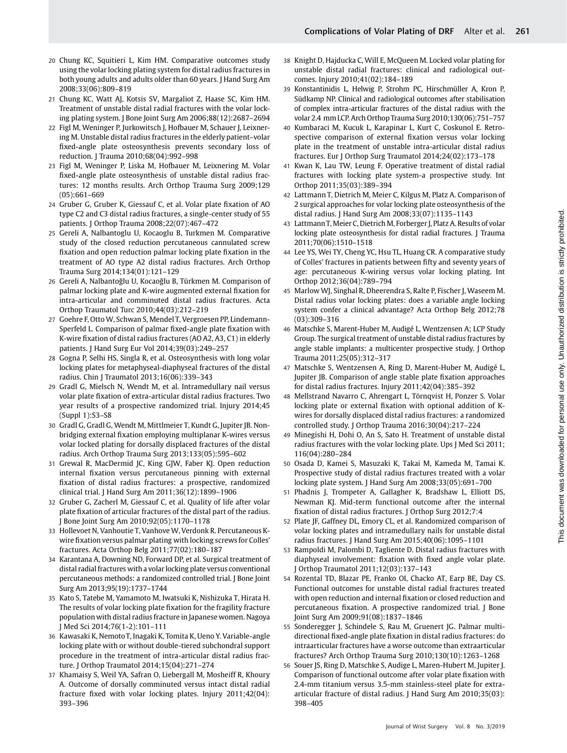- 20 Chung KC, Squitieri L, Kim HM. Comparative outcomes study using the volar locking plating system for distal radius fractures in both young adults and adults older than 60 years. J Hand Surg Am 2008;33(06):809–819
- 21 Chung KC, Watt AJ, Kotsis SV, Margaliot Z, Haase SC, Kim HM. Treatment of unstable distal radial fractures with the volar locking plating system. J Bone Joint Surg Am 2006;88(12):2687–2694
- 22 Figl M, Weninger P, Jurkowitsch J, Hofbauer M, Schauer J, Leixnering M. Unstable distal radius fractures in the elderly patient–volar fixed-angle plate osteosynthesis prevents secondary loss of reduction. J Trauma 2010;68(04):992–998
- 23 Figl M, Weninger P, Liska M, Hofbauer M, Leixnering M. Volar fixed-angle plate osteosynthesis of unstable distal radius fractures: 12 months results. Arch Orthop Trauma Surg 2009;129 (05):661–669
- 24 Gruber G, Gruber K, Giessauf C, et al. Volar plate fixation of AO type C2 and C3 distal radius fractures, a single-center study of 55 patients. J Orthop Trauma 2008;22(07):467–472
- 25 Gereli A, Nalbantoglu U, Kocaoglu B, Turkmen M. Comparative study of the closed reduction percutaneous cannulated screw fixation and open reduction palmar locking plate fixation in the treatment of AO type A2 distal radius fractures. Arch Orthop Trauma Surg 2014;134(01):121–129
- 26 Gereli A, Nalbantoğlu U, Kocaoğlu B, Türkmen M. Comparison of palmar locking plate and K-wire augmented external fixation for intra-articular and comminuted distal radius fractures. Acta Orthop Traumatol Turc 2010;44(03):212–219
- 27 Goehre F, Otto W, Schwan S, Mendel T, Vergroesen PP, Lindemann-Sperfeld L. Comparison of palmar fixed-angle plate fixation with K-wire fixation of distal radius fractures (AO A2, A3, C1) in elderly patients. J Hand Surg Eur Vol 2014;39(03):249–257
- 28 Gogna P, Selhi HS, Singla R, et al. Osteosynthesis with long volar locking plates for metaphyseal-diaphyseal fractures of the distal radius. Chin J Traumatol 2013;16(06):339–343
- 29 Gradl G, Mielsch N, Wendt M, et al. Intramedullary nail versus volar plate fixation of extra-articular distal radius fractures. Two year results of a prospective randomized trial. Injury 2014;45 (Suppl 1):S3–S8
- 30 Gradl G, Gradl G, Wendt M, Mittlmeier T, Kundt G, Jupiter JB. Nonbridging external fixation employing multiplanar K-wires versus volar locked plating for dorsally displaced fractures of the distal radius. Arch Orthop Trauma Surg 2013;133(05):595–602
- 31 Grewal R, MacDermid JC, King GJW, Faber KJ. Open reduction internal fixation versus percutaneous pinning with external fixation of distal radius fractures: a prospective, randomized clinical trial. J Hand Surg Am 2011;36(12):1899–1906
- 32 Gruber G, Zacherl M, Giessauf C, et al. Quality of life after volar plate fixation of articular fractures of the distal part of the radius. J Bone Joint Surg Am 2010;92(05):1170–1178
- 33 Hollevoet N, Vanhoutie T, Vanhove W, Verdonk R. Percutaneous Kwire fixation versus palmar plating with locking screws for Colles' fractures. Acta Orthop Belg 2011;77(02):180–187
- 34 Karantana A, Downing ND, Forward DP, et al. Surgical treatment of distal radial fractures with a volar locking plate versus conventional percutaneous methods: a randomized controlled trial. J Bone Joint Surg Am 2013;95(19):1737–1744
- 35 Kato S, Tatebe M, Yamamoto M, Iwatsuki K, Nishizuka T, Hirata H. The results of volar locking plate fixation for the fragility fracture population with distal radius fracture in Japanese women. Nagoya J Med Sci 2014;76(1-2):101–111
- 36 Kawasaki K, Nemoto T, Inagaki K, Tomita K, Ueno Y. Variable-angle locking plate with or without double-tiered subchondral support procedure in the treatment of intra-articular distal radius fracture. J Orthop Traumatol 2014;15(04):271–274
- 37 Khamaisy S, Weil YA, Safran O, Liebergall M, Mosheiff R, Khoury A. Outcome of dorsally comminuted versus intact distal radial fracture fixed with volar locking plates. Injury 2011;42(04): 393–396
- 38 Knight D, Hajducka C, Will E, McQueen M. Locked volar plating for unstable distal radial fractures: clinical and radiological outcomes. Injury 2010;41(02):184–189
- 39 Konstantinidis L, Helwig P, Strohm PC, Hirschmüller A, Kron P, Südkamp NP. Clinical and radiological outcomes after stabilisation of complex intra-articular fractures of the distal radius with the volar 2.4 mm LCP. Arch Orthop Trauma Surg 2010;130(06):751–757
- 40 Kumbaraci M, Kucuk L, Karapinar L, Kurt C, Coskunol E. Retrospective comparison of external fixation versus volar locking plate in the treatment of unstable intra-articular distal radius fractures. Eur J Orthop Surg Traumatol 2014;24(02):173–178
- 41 Kwan K, Lau TW, Leung F. Operative treatment of distal radial fractures with locking plate system-a prospective study. Int Orthop 2011;35(03):389–394
- 42 Lattmann T, Dietrich M, Meier C, Kilgus M, Platz A. Comparison of 2 surgical approaches for volar locking plate osteosynthesis of the distal radius. J Hand Surg Am 2008;33(07):1135–1143
- 43 Lattmann T, Meier C, Dietrich M, Forberger J, Platz A. Results of volar locking plate osteosynthesis for distal radial fractures. J Trauma 2011;70(06):1510–1518
- 44 Lee YS, Wei TY, Cheng YC, Hsu TL, Huang CR. A comparative study of Colles' fractures in patients between fifty and seventy years of age: percutaneous K-wiring versus volar locking plating. Int Orthop 2012;36(04):789–794
- 45 Marlow WJ, Singhal R, Dheerendra S, Ralte P, Fischer J, Waseem M. Distal radius volar locking plates: does a variable angle locking system confer a clinical advantage? Acta Orthop Belg 2012;78 (03):309–316
- 46 Matschke S, Marent-Huber M, Audigé L, Wentzensen A; LCP Study Group. The surgical treatment of unstable distal radius fractures by angle stable implants: a multicenter prospective study. J Orthop Trauma 2011;25(05):312–317
- 47 Matschke S, Wentzensen A, Ring D, Marent-Huber M, Audigé L, Jupiter JB. Comparison of angle stable plate fixation approaches for distal radius fractures. Injury 2011;42(04):385–392
- 48 Mellstrand Navarro C, Ahrengart L, Törnqvist H, Ponzer S. Volar locking plate or external fixation with optional addition of Kwires for dorsally displaced distal radius fractures: a randomized controlled study. J Orthop Trauma 2016;30(04):217–224
- 49 Minegishi H, Dohi O, An S, Sato H. Treatment of unstable distal radius fractures with the volar locking plate. Ups J Med Sci 2011; 116(04):280–284
- 50 Osada D, Kamei S, Masuzaki K, Takai M, Kameda M, Tamai K. Prospective study of distal radius fractures treated with a volar locking plate system. J Hand Surg Am 2008;33(05):691–700
- 51 Phadnis J, Trompeter A, Gallagher K, Bradshaw L, Elliott DS, Newman KJ. Mid-term functional outcome after the internal fixation of distal radius fractures. J Orthop Surg 2012;7:4
- 52 Plate JF, Gaffney DL, Emory CL, et al. Randomized comparison of volar locking plates and intramedullary nails for unstable distal radius fractures. J Hand Surg Am 2015;40(06):1095–1101
- 53 Rampoldi M, Palombi D, Tagliente D. Distal radius fractures with diaphyseal involvement: fixation with fixed angle volar plate. J Orthop Traumatol 2011;12(03):137–143
- 54 Rozental TD, Blazar PE, Franko OI, Chacko AT, Earp BE, Day CS. Functional outcomes for unstable distal radial fractures treated with open reduction and internal fixation or closed reduction and percutaneous fixation. A prospective randomized trial. J Bone Joint Surg Am 2009;91(08):1837–1846
- 55 Sonderegger J, Schindele S, Rau M, Gruenert JG. Palmar multidirectional fixed-angle plate fixation in distal radius fractures: do intraarticular fractures have a worse outcome than extraarticular fractures? Arch Orthop Trauma Surg 2010;130(10):1263–1268
- 56 Souer JS, Ring D, Matschke S, Audige L, Maren-Hubert M, Jupiter J. Comparison of functional outcome after volar plate fixation with 2.4-mm titanium versus 3.5-mm stainless-steel plate for extraarticular fracture of distal radius. J Hand Surg Am 2010;35(03): 398–405